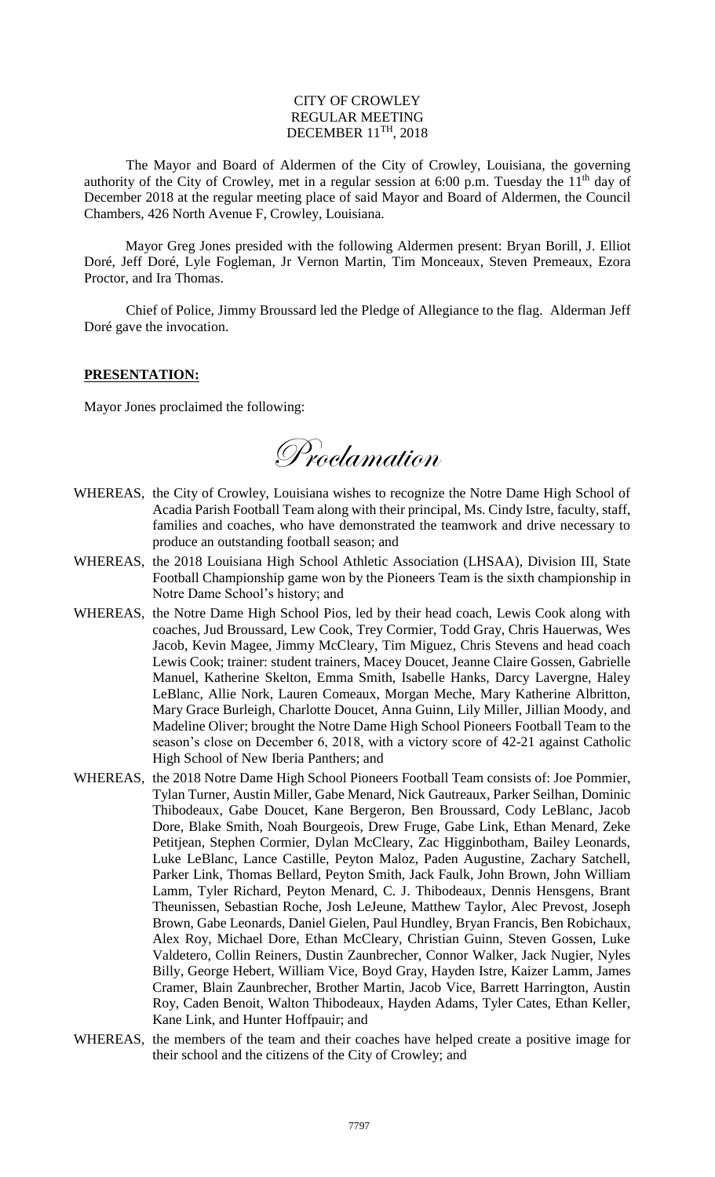## CITY OF CROWLEY REGULAR MEETING DECEMBER 11<sup>TH</sup>, 2018

The Mayor and Board of Aldermen of the City of Crowley, Louisiana, the governing authority of the City of Crowley, met in a regular session at 6:00 p.m. Tuesday the  $11<sup>th</sup>$  day of December 2018 at the regular meeting place of said Mayor and Board of Aldermen, the Council Chambers, 426 North Avenue F, Crowley, Louisiana.

Mayor Greg Jones presided with the following Aldermen present: Bryan Borill, J. Elliot Doré, Jeff Doré, Lyle Fogleman, Jr Vernon Martin, Tim Monceaux, Steven Premeaux, Ezora Proctor, and Ira Thomas.

Chief of Police, Jimmy Broussard led the Pledge of Allegiance to the flag. Alderman Jeff Doré gave the invocation.

## **PRESENTATION:**

Mayor Jones proclaimed the following:

Proclamation

- WHEREAS, the City of Crowley, Louisiana wishes to recognize the Notre Dame High School of Acadia Parish Football Team along with their principal, Ms. Cindy Istre, faculty, staff, families and coaches, who have demonstrated the teamwork and drive necessary to produce an outstanding football season; and
- WHEREAS, the 2018 Louisiana High School Athletic Association (LHSAA), Division III, State Football Championship game won by the Pioneers Team is the sixth championship in Notre Dame School's history; and
- WHEREAS, the Notre Dame High School Pios, led by their head coach, Lewis Cook along with coaches, Jud Broussard, Lew Cook, Trey Cormier, Todd Gray, Chris Hauerwas, Wes Jacob, Kevin Magee, Jimmy McCleary, Tim Miguez, Chris Stevens and head coach Lewis Cook; trainer: student trainers, Macey Doucet, Jeanne Claire Gossen, Gabrielle Manuel, Katherine Skelton, Emma Smith, Isabelle Hanks, Darcy Lavergne, Haley LeBlanc, Allie Nork, Lauren Comeaux, Morgan Meche, Mary Katherine Albritton, Mary Grace Burleigh, Charlotte Doucet, Anna Guinn, Lily Miller, Jillian Moody, and Madeline Oliver; brought the Notre Dame High School Pioneers Football Team to the season's close on December 6, 2018, with a victory score of 42-21 against Catholic High School of New Iberia Panthers; and
- WHEREAS, the 2018 Notre Dame High School Pioneers Football Team consists of: Joe Pommier, Tylan Turner, Austin Miller, Gabe Menard, Nick Gautreaux, Parker Seilhan, Dominic Thibodeaux, Gabe Doucet, Kane Bergeron, Ben Broussard, Cody LeBlanc, Jacob Dore, Blake Smith, Noah Bourgeois, Drew Fruge, Gabe Link, Ethan Menard, Zeke Petitjean, Stephen Cormier, Dylan McCleary, Zac Higginbotham, Bailey Leonards, Luke LeBlanc, Lance Castille, Peyton Maloz, Paden Augustine, Zachary Satchell, Parker Link, Thomas Bellard, Peyton Smith, Jack Faulk, John Brown, John William Lamm, Tyler Richard, Peyton Menard, C. J. Thibodeaux, Dennis Hensgens, Brant Theunissen, Sebastian Roche, Josh LeJeune, Matthew Taylor, Alec Prevost, Joseph Brown, Gabe Leonards, Daniel Gielen, Paul Hundley, Bryan Francis, Ben Robichaux, Alex Roy, Michael Dore, Ethan McCleary, Christian Guinn, Steven Gossen, Luke Valdetero, Collin Reiners, Dustin Zaunbrecher, Connor Walker, Jack Nugier, Nyles Billy, George Hebert, William Vice, Boyd Gray, Hayden Istre, Kaizer Lamm, James Cramer, Blain Zaunbrecher, Brother Martin, Jacob Vice, Barrett Harrington, Austin Roy, Caden Benoit, Walton Thibodeaux, Hayden Adams, Tyler Cates, Ethan Keller, Kane Link, and Hunter Hoffpauir; and
- WHEREAS, the members of the team and their coaches have helped create a positive image for their school and the citizens of the City of Crowley; and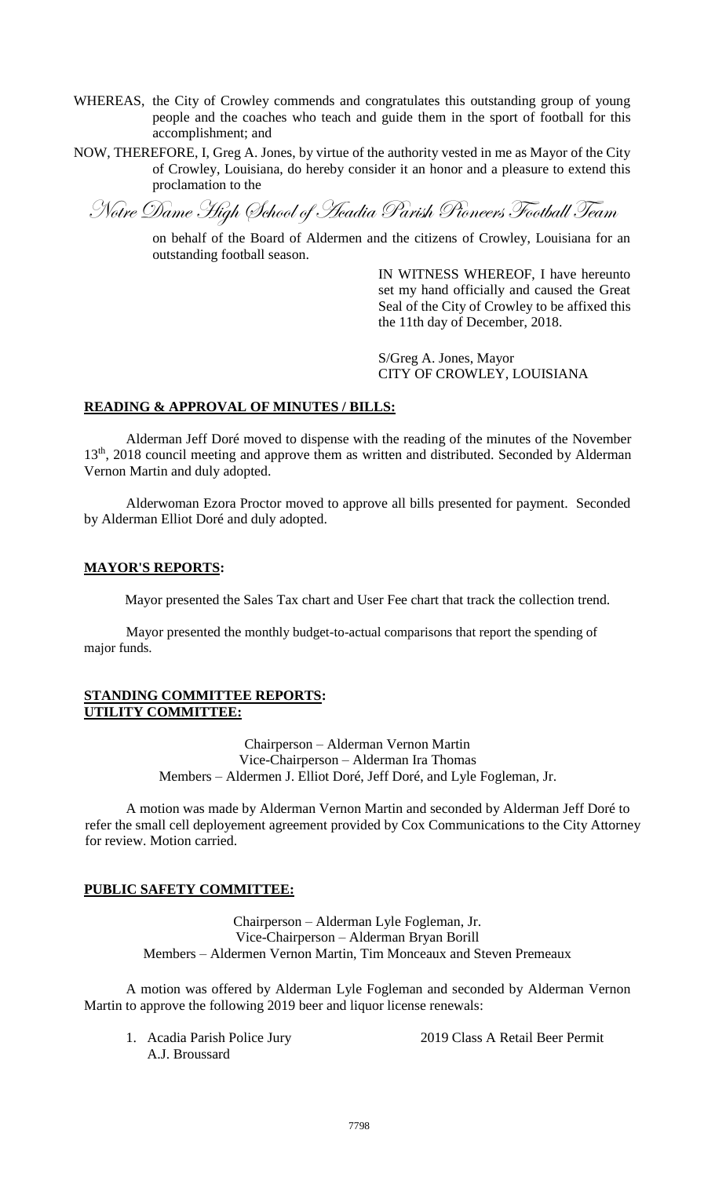- WHEREAS, the City of Crowley commends and congratulates this outstanding group of young people and the coaches who teach and guide them in the sport of football for this accomplishment; and
- NOW, THEREFORE, I, Greg A. Jones, by virtue of the authority vested in me as Mayor of the City of Crowley, Louisiana, do hereby consider it an honor and a pleasure to extend this proclamation to the

Notre Dame High School of Acadia Parish Pioneers Football Team

on behalf of the Board of Aldermen and the citizens of Crowley, Louisiana for an outstanding football season.

> IN WITNESS WHEREOF, I have hereunto set my hand officially and caused the Great Seal of the City of Crowley to be affixed this the 11th day of December, 2018.

S/Greg A. Jones, Mayor CITY OF CROWLEY, LOUISIANA

## **READING & APPROVAL OF MINUTES / BILLS:**

Alderman Jeff Doré moved to dispense with the reading of the minutes of the November 13<sup>th</sup>, 2018 council meeting and approve them as written and distributed. Seconded by Alderman Vernon Martin and duly adopted.

Alderwoman Ezora Proctor moved to approve all bills presented for payment. Seconded by Alderman Elliot Doré and duly adopted.

#### **MAYOR'S REPORTS:**

Mayor presented the Sales Tax chart and User Fee chart that track the collection trend.

Mayor presented the monthly budget-to-actual comparisons that report the spending of major funds.

#### **STANDING COMMITTEE REPORTS: UTILITY COMMITTEE:**

Chairperson – Alderman Vernon Martin Vice-Chairperson – Alderman Ira Thomas Members – Aldermen J. Elliot Doré, Jeff Doré, and Lyle Fogleman, Jr.

A motion was made by Alderman Vernon Martin and seconded by Alderman Jeff Doré to refer the small cell deployement agreement provided by Cox Communications to the City Attorney for review. Motion carried.

# **PUBLIC SAFETY COMMITTEE:**

Chairperson – Alderman Lyle Fogleman, Jr. Vice-Chairperson – Alderman Bryan Borill Members – Aldermen Vernon Martin, Tim Monceaux and Steven Premeaux

A motion was offered by Alderman Lyle Fogleman and seconded by Alderman Vernon Martin to approve the following 2019 beer and liquor license renewals:

A.J. Broussard

1. Acadia Parish Police Jury 2019 Class A Retail Beer Permit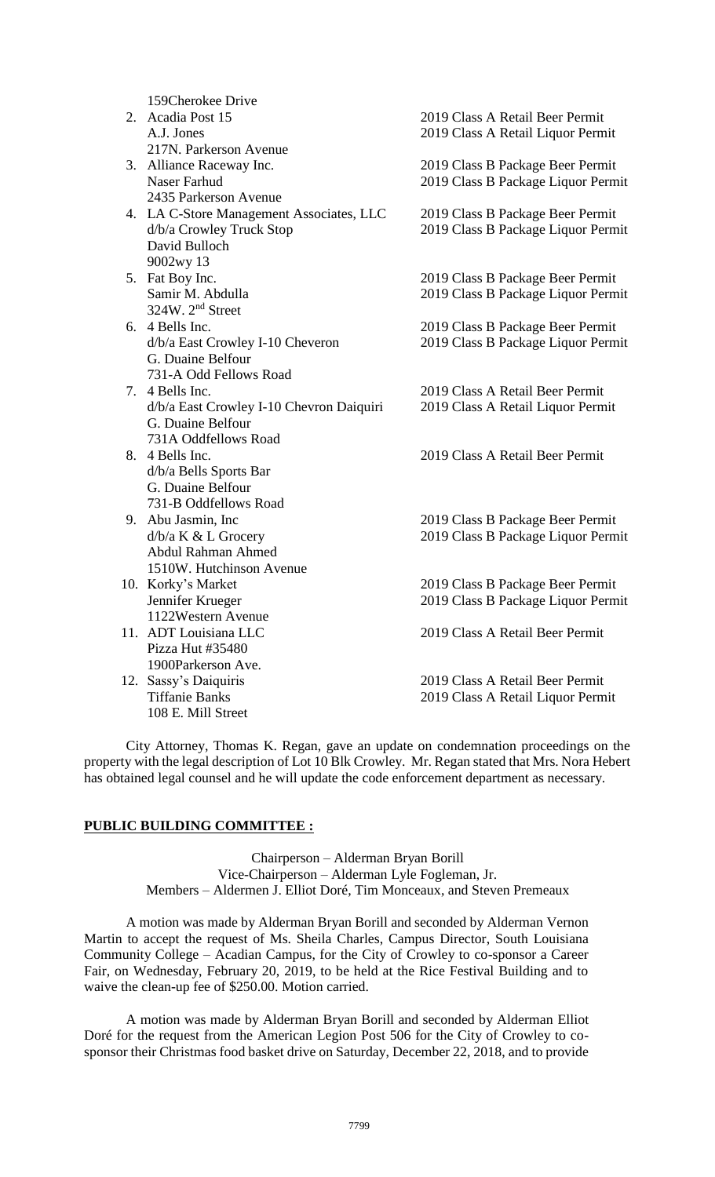159Cherokee Drive

|  | 2. Acadia Post 15                        | 2019 Class A Retail Beer Permit    |
|--|------------------------------------------|------------------------------------|
|  | A.J. Jones                               | 2019 Class A Retail Liquor Permit  |
|  | 217N. Parkerson Avenue                   |                                    |
|  | 3. Alliance Raceway Inc.                 | 2019 Class B Package Beer Permit   |
|  | Naser Farhud                             | 2019 Class B Package Liquor Permit |
|  | 2435 Parkerson Avenue                    |                                    |
|  | 4. LA C-Store Management Associates, LLC | 2019 Class B Package Beer Permit   |
|  | d/b/a Crowley Truck Stop                 | 2019 Class B Package Liquor Permit |
|  | David Bulloch                            |                                    |
|  | 9002wy 13                                |                                    |
|  | 5. Fat Boy Inc.                          | 2019 Class B Package Beer Permit   |
|  | Samir M. Abdulla                         | 2019 Class B Package Liquor Permit |
|  | 324W. 2 <sup>nd</sup> Street             |                                    |
|  | 6. 4 Bells Inc.                          | 2019 Class B Package Beer Permit   |
|  | d/b/a East Crowley I-10 Cheveron         | 2019 Class B Package Liquor Permit |
|  | G. Duaine Belfour                        |                                    |
|  | 731-A Odd Fellows Road                   |                                    |
|  | 7. 4 Bells Inc.                          | 2019 Class A Retail Beer Permit    |
|  | d/b/a East Crowley I-10 Chevron Daiquiri | 2019 Class A Retail Liquor Permit  |
|  | G. Duaine Belfour                        |                                    |
|  | 731A Oddfellows Road                     |                                    |
|  | 8. 4 Bells Inc.                          | 2019 Class A Retail Beer Permit    |
|  | d/b/a Bells Sports Bar                   |                                    |
|  | G. Duaine Belfour                        |                                    |
|  | 731-B Oddfellows Road                    |                                    |
|  | 9. Abu Jasmin, Inc                       | 2019 Class B Package Beer Permit   |
|  | $d/b/a K & L$ Grocery                    | 2019 Class B Package Liquor Permit |
|  | Abdul Rahman Ahmed                       |                                    |
|  | 1510W. Hutchinson Avenue                 |                                    |
|  | 10. Korky's Market                       | 2019 Class B Package Beer Permit   |
|  | Jennifer Krueger                         | 2019 Class B Package Liquor Permit |
|  | 1122Western Avenue                       |                                    |
|  | 11. ADT Louisiana LLC                    | 2019 Class A Retail Beer Permit    |
|  | Pizza Hut #35480                         |                                    |
|  | 1900Parkerson Ave.                       |                                    |
|  | 12. Sassy's Daiquiris                    | 2019 Class A Retail Beer Permit    |
|  | <b>Tiffanie Banks</b>                    | 2019 Class A Retail Liquor Permit  |
|  | 108 E. Mill Street                       |                                    |

City Attorney, Thomas K. Regan, gave an update on condemnation proceedings on the property with the legal description of Lot 10 Blk Crowley. Mr. Regan stated that Mrs. Nora Hebert has obtained legal counsel and he will update the code enforcement department as necessary.

# **PUBLIC BUILDING COMMITTEE :**

Chairperson – Alderman Bryan Borill Vice-Chairperson – Alderman Lyle Fogleman, Jr. Members – Aldermen J. Elliot Doré, Tim Monceaux, and Steven Premeaux

A motion was made by Alderman Bryan Borill and seconded by Alderman Vernon Martin to accept the request of Ms. Sheila Charles, Campus Director, South Louisiana Community College – Acadian Campus, for the City of Crowley to co-sponsor a Career Fair, on Wednesday, February 20, 2019, to be held at the Rice Festival Building and to waive the clean-up fee of \$250.00. Motion carried.

A motion was made by Alderman Bryan Borill and seconded by Alderman Elliot Doré for the request from the American Legion Post 506 for the City of Crowley to cosponsor their Christmas food basket drive on Saturday, December 22, 2018, and to provide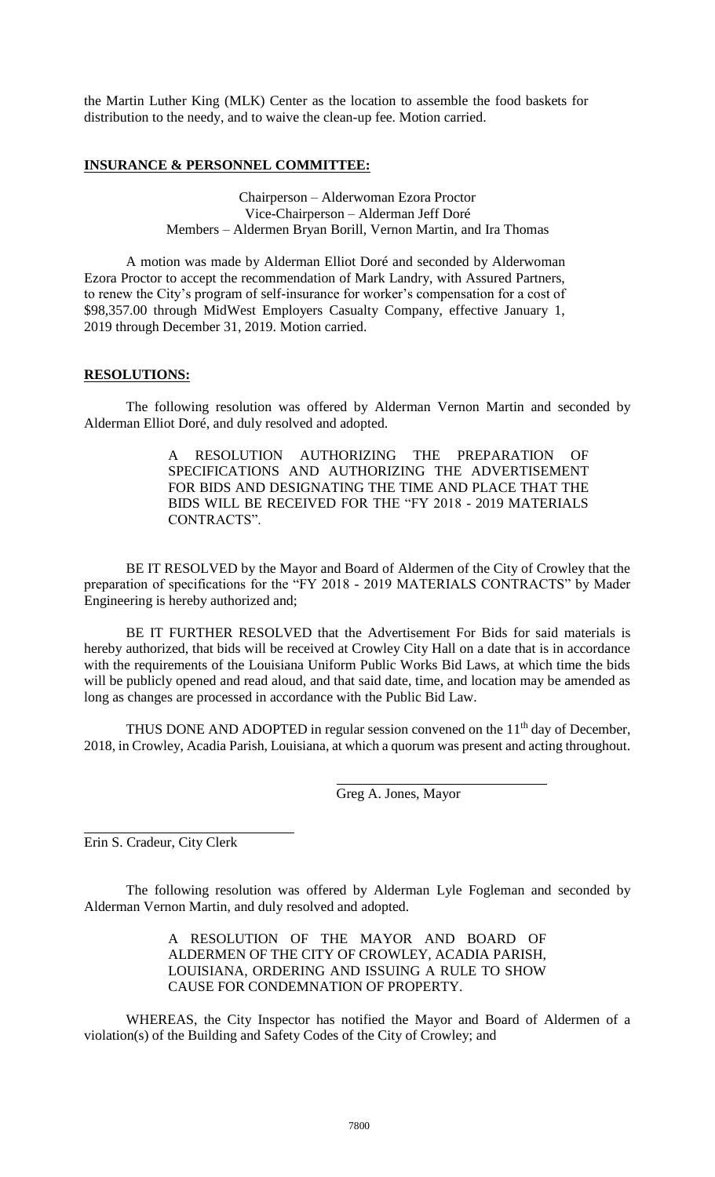the Martin Luther King (MLK) Center as the location to assemble the food baskets for distribution to the needy, and to waive the clean-up fee. Motion carried.

## **INSURANCE & PERSONNEL COMMITTEE:**

Chairperson – Alderwoman Ezora Proctor Vice-Chairperson – Alderman Jeff Doré Members – Aldermen Bryan Borill, Vernon Martin, and Ira Thomas

A motion was made by Alderman Elliot Doré and seconded by Alderwoman Ezora Proctor to accept the recommendation of Mark Landry, with Assured Partners, to renew the City's program of self-insurance for worker's compensation for a cost of \$98,357.00 through MidWest Employers Casualty Company, effective January 1, 2019 through December 31, 2019. Motion carried.

## **RESOLUTIONS:**

The following resolution was offered by Alderman Vernon Martin and seconded by Alderman Elliot Doré, and duly resolved and adopted.

> A RESOLUTION AUTHORIZING THE PREPARATION OF SPECIFICATIONS AND AUTHORIZING THE ADVERTISEMENT FOR BIDS AND DESIGNATING THE TIME AND PLACE THAT THE BIDS WILL BE RECEIVED FOR THE "FY 2018 - 2019 MATERIALS CONTRACTS".

BE IT RESOLVED by the Mayor and Board of Aldermen of the City of Crowley that the preparation of specifications for the "FY 2018 - 2019 MATERIALS CONTRACTS" by Mader Engineering is hereby authorized and;

BE IT FURTHER RESOLVED that the Advertisement For Bids for said materials is hereby authorized, that bids will be received at Crowley City Hall on a date that is in accordance with the requirements of the Louisiana Uniform Public Works Bid Laws, at which time the bids will be publicly opened and read aloud, and that said date, time, and location may be amended as long as changes are processed in accordance with the Public Bid Law.

THUS DONE AND ADOPTED in regular session convened on the  $11<sup>th</sup>$  day of December, 2018, in Crowley, Acadia Parish, Louisiana, at which a quorum was present and acting throughout.

Greg A. Jones, Mayor

Erin S. Cradeur, City Clerk

The following resolution was offered by Alderman Lyle Fogleman and seconded by Alderman Vernon Martin, and duly resolved and adopted.

> A RESOLUTION OF THE MAYOR AND BOARD OF ALDERMEN OF THE CITY OF CROWLEY, ACADIA PARISH, LOUISIANA, ORDERING AND ISSUING A RULE TO SHOW CAUSE FOR CONDEMNATION OF PROPERTY.

WHEREAS, the City Inspector has notified the Mayor and Board of Aldermen of a violation(s) of the Building and Safety Codes of the City of Crowley; and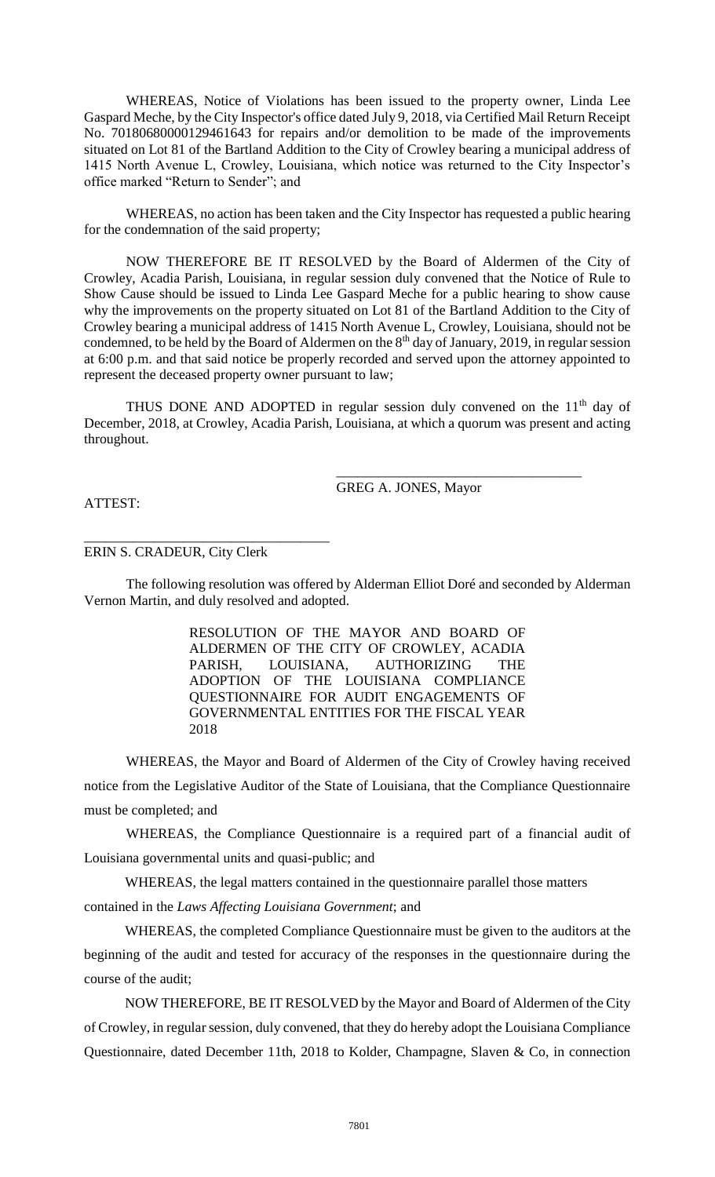WHEREAS, Notice of Violations has been issued to the property owner, Linda Lee Gaspard Meche, by the City Inspector's office dated July 9, 2018, via Certified Mail Return Receipt No. 70180680000129461643 for repairs and/or demolition to be made of the improvements situated on Lot 81 of the Bartland Addition to the City of Crowley bearing a municipal address of 1415 North Avenue L, Crowley, Louisiana, which notice was returned to the City Inspector's office marked "Return to Sender"; and

WHEREAS, no action has been taken and the City Inspector has requested a public hearing for the condemnation of the said property;

NOW THEREFORE BE IT RESOLVED by the Board of Aldermen of the City of Crowley, Acadia Parish, Louisiana, in regular session duly convened that the Notice of Rule to Show Cause should be issued to Linda Lee Gaspard Meche for a public hearing to show cause why the improvements on the property situated on Lot 81 of the Bartland Addition to the City of Crowley bearing a municipal address of 1415 North Avenue L, Crowley, Louisiana, should not be condemned, to be held by the Board of Aldermen on the 8<sup>th</sup> day of January, 2019, in regular session at 6:00 p.m. and that said notice be properly recorded and served upon the attorney appointed to represent the deceased property owner pursuant to law;

THUS DONE AND ADOPTED in regular session duly convened on the  $11<sup>th</sup>$  day of December, 2018, at Crowley, Acadia Parish, Louisiana, at which a quorum was present and acting throughout.

GREG A. JONES, Mayor

\_\_\_\_\_\_\_\_\_\_\_\_\_\_\_\_\_\_\_\_\_\_\_\_\_\_\_\_\_\_\_\_\_\_\_

ATTEST:

ERIN S. CRADEUR, City Clerk

\_\_\_\_\_\_\_\_\_\_\_\_\_\_\_\_\_\_\_\_\_\_\_\_\_\_\_\_\_\_\_\_\_\_\_

The following resolution was offered by Alderman Elliot Doré and seconded by Alderman Vernon Martin, and duly resolved and adopted.

> RESOLUTION OF THE MAYOR AND BOARD OF ALDERMEN OF THE CITY OF CROWLEY, ACADIA PARISH, LOUISIANA, AUTHORIZING THE ADOPTION OF THE LOUISIANA COMPLIANCE QUESTIONNAIRE FOR AUDIT ENGAGEMENTS OF GOVERNMENTAL ENTITIES FOR THE FISCAL YEAR 2018

WHEREAS, the Mayor and Board of Aldermen of the City of Crowley having received notice from the Legislative Auditor of the State of Louisiana, that the Compliance Questionnaire must be completed; and

WHEREAS, the Compliance Questionnaire is a required part of a financial audit of Louisiana governmental units and quasi-public; and

WHEREAS, the legal matters contained in the questionnaire parallel those matters

contained in the *Laws Affecting Louisiana Government*; and

WHEREAS, the completed Compliance Questionnaire must be given to the auditors at the beginning of the audit and tested for accuracy of the responses in the questionnaire during the course of the audit;

NOW THEREFORE, BE IT RESOLVED by the Mayor and Board of Aldermen of the City of Crowley, in regular session, duly convened, that they do hereby adopt the Louisiana Compliance Questionnaire, dated December 11th, 2018 to Kolder, Champagne, Slaven & Co, in connection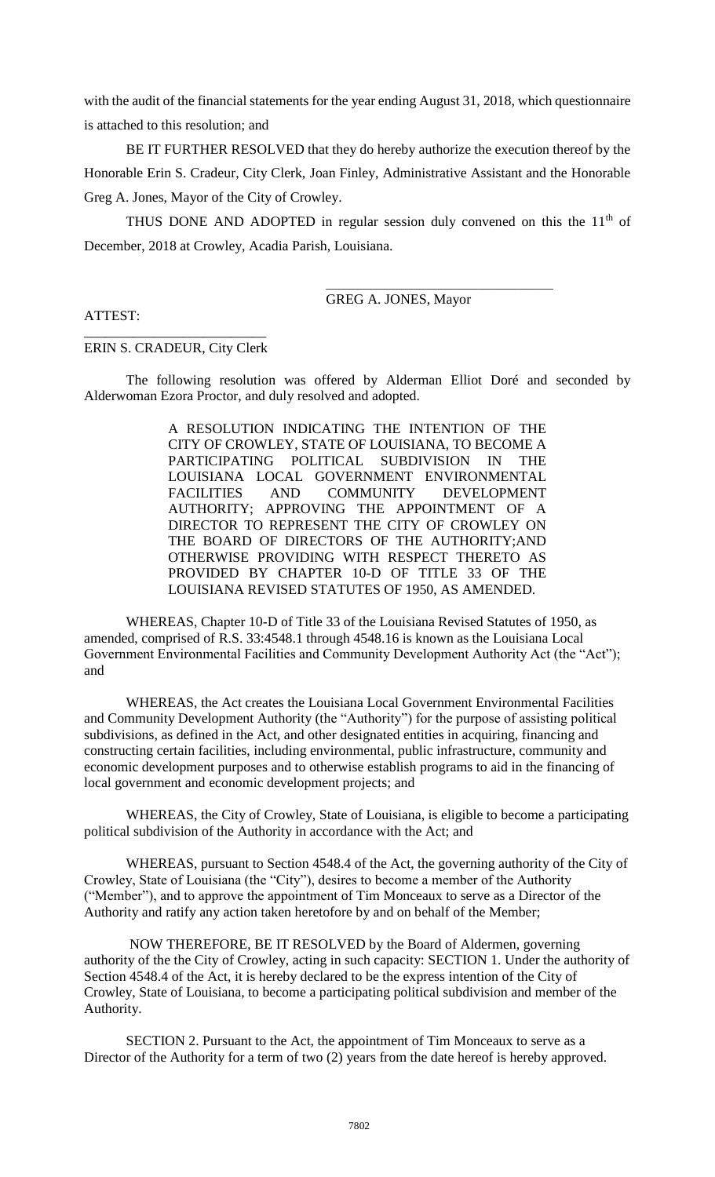with the audit of the financial statements for the year ending August 31, 2018, which questionnaire is attached to this resolution; and

BE IT FURTHER RESOLVED that they do hereby authorize the execution thereof by the Honorable Erin S. Cradeur, City Clerk, Joan Finley, Administrative Assistant and the Honorable Greg A. Jones, Mayor of the City of Crowley.

THUS DONE AND ADOPTED in regular session duly convened on this the  $11<sup>th</sup>$  of December, 2018 at Crowley, Acadia Parish, Louisiana.

GREG A. JONES, Mayor

\_\_\_\_\_\_\_\_\_\_\_\_\_\_\_\_\_\_\_\_\_\_\_\_\_\_\_\_\_\_\_\_\_\_\_\_\_\_\_

# ATTEST:

## \_\_\_\_\_\_\_\_\_\_\_\_\_\_\_\_\_\_\_\_\_\_\_\_\_\_ ERIN S. CRADEUR, City Clerk

The following resolution was offered by Alderman Elliot Doré and seconded by Alderwoman Ezora Proctor, and duly resolved and adopted.

> A RESOLUTION INDICATING THE INTENTION OF THE CITY OF CROWLEY, STATE OF LOUISIANA, TO BECOME A PARTICIPATING POLITICAL SUBDIVISION IN THE LOUISIANA LOCAL GOVERNMENT ENVIRONMENTAL FACILITIES AND COMMUNITY DEVELOPMENT AUTHORITY; APPROVING THE APPOINTMENT OF A DIRECTOR TO REPRESENT THE CITY OF CROWLEY ON THE BOARD OF DIRECTORS OF THE AUTHORITY;AND OTHERWISE PROVIDING WITH RESPECT THERETO AS PROVIDED BY CHAPTER 10-D OF TITLE 33 OF THE LOUISIANA REVISED STATUTES OF 1950, AS AMENDED.

WHEREAS, Chapter 10-D of Title 33 of the Louisiana Revised Statutes of 1950, as amended, comprised of R.S. 33:4548.1 through 4548.16 is known as the Louisiana Local Government Environmental Facilities and Community Development Authority Act (the "Act"); and

WHEREAS, the Act creates the Louisiana Local Government Environmental Facilities and Community Development Authority (the "Authority") for the purpose of assisting political subdivisions, as defined in the Act, and other designated entities in acquiring, financing and constructing certain facilities, including environmental, public infrastructure, community and economic development purposes and to otherwise establish programs to aid in the financing of local government and economic development projects; and

WHEREAS, the City of Crowley, State of Louisiana, is eligible to become a participating political subdivision of the Authority in accordance with the Act; and

WHEREAS, pursuant to Section 4548.4 of the Act, the governing authority of the City of Crowley, State of Louisiana (the "City"), desires to become a member of the Authority ("Member"), and to approve the appointment of Tim Monceaux to serve as a Director of the Authority and ratify any action taken heretofore by and on behalf of the Member;

NOW THEREFORE, BE IT RESOLVED by the Board of Aldermen, governing authority of the the City of Crowley, acting in such capacity: SECTION 1. Under the authority of Section 4548.4 of the Act, it is hereby declared to be the express intention of the City of Crowley, State of Louisiana, to become a participating political subdivision and member of the Authority.

SECTION 2. Pursuant to the Act, the appointment of Tim Monceaux to serve as a Director of the Authority for a term of two (2) years from the date hereof is hereby approved.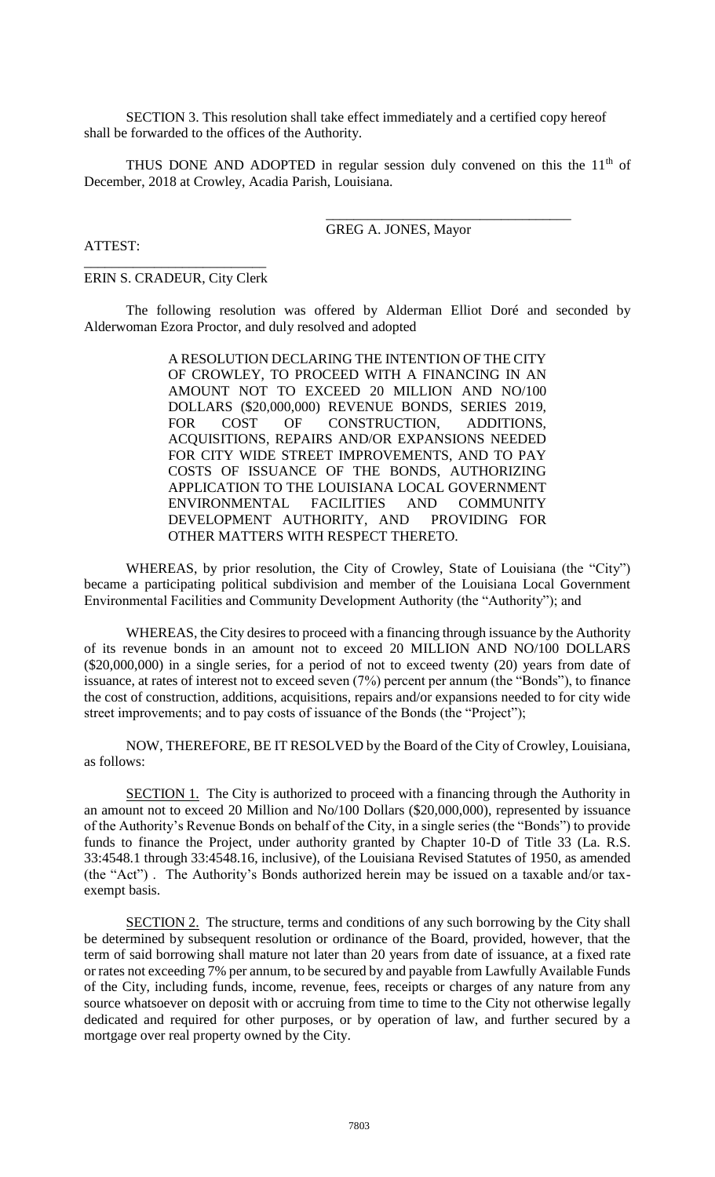SECTION 3. This resolution shall take effect immediately and a certified copy hereof shall be forwarded to the offices of the Authority.

THUS DONE AND ADOPTED in regular session duly convened on this the  $11<sup>th</sup>$  of December, 2018 at Crowley, Acadia Parish, Louisiana.

#### GREG A. JONES, Mayor

\_\_\_\_\_\_\_\_\_\_\_\_\_\_\_\_\_\_\_\_\_\_\_\_\_\_\_\_\_\_\_\_\_\_\_

# ATTEST:

\_\_\_\_\_\_\_\_\_\_\_\_\_\_\_\_\_\_\_\_\_\_\_\_\_\_ ERIN S. CRADEUR, City Clerk

The following resolution was offered by Alderman Elliot Doré and seconded by Alderwoman Ezora Proctor, and duly resolved and adopted

> A RESOLUTION DECLARING THE INTENTION OF THE CITY OF CROWLEY, TO PROCEED WITH A FINANCING IN AN AMOUNT NOT TO EXCEED 20 MILLION AND NO/100 DOLLARS (\$20,000,000) REVENUE BONDS, SERIES 2019, FOR COST OF CONSTRUCTION, ADDITIONS, ACQUISITIONS, REPAIRS AND/OR EXPANSIONS NEEDED FOR CITY WIDE STREET IMPROVEMENTS, AND TO PAY COSTS OF ISSUANCE OF THE BONDS, AUTHORIZING APPLICATION TO THE LOUISIANA LOCAL GOVERNMENT ENVIRONMENTAL FACILITIES AND COMMUNITY<br>DEVELOPMENT AUTHORITY, AND PROVIDING FOR DEVELOPMENT AUTHORITY, AND OTHER MATTERS WITH RESPECT THERETO.

WHEREAS, by prior resolution, the City of Crowley, State of Louisiana (the "City") became a participating political subdivision and member of the Louisiana Local Government Environmental Facilities and Community Development Authority (the "Authority"); and

WHEREAS, the City desires to proceed with a financing through issuance by the Authority of its revenue bonds in an amount not to exceed 20 MILLION AND NO/100 DOLLARS (\$20,000,000) in a single series, for a period of not to exceed twenty (20) years from date of issuance, at rates of interest not to exceed seven (7%) percent per annum (the "Bonds"), to finance the cost of construction, additions, acquisitions, repairs and/or expansions needed to for city wide street improvements; and to pay costs of issuance of the Bonds (the "Project");

NOW, THEREFORE, BE IT RESOLVED by the Board of the City of Crowley, Louisiana, as follows:

SECTION 1. The City is authorized to proceed with a financing through the Authority in an amount not to exceed 20 Million and No/100 Dollars (\$20,000,000), represented by issuance of the Authority's Revenue Bonds on behalf of the City, in a single series (the "Bonds") to provide funds to finance the Project, under authority granted by Chapter 10-D of Title 33 (La. R.S. 33:4548.1 through 33:4548.16, inclusive), of the Louisiana Revised Statutes of 1950, as amended (the "Act") . The Authority's Bonds authorized herein may be issued on a taxable and/or taxexempt basis.

SECTION 2. The structure, terms and conditions of any such borrowing by the City shall be determined by subsequent resolution or ordinance of the Board, provided, however, that the term of said borrowing shall mature not later than 20 years from date of issuance, at a fixed rate or rates not exceeding 7% per annum, to be secured by and payable from Lawfully Available Funds of the City, including funds, income, revenue, fees, receipts or charges of any nature from any source whatsoever on deposit with or accruing from time to time to the City not otherwise legally dedicated and required for other purposes, or by operation of law, and further secured by a mortgage over real property owned by the City.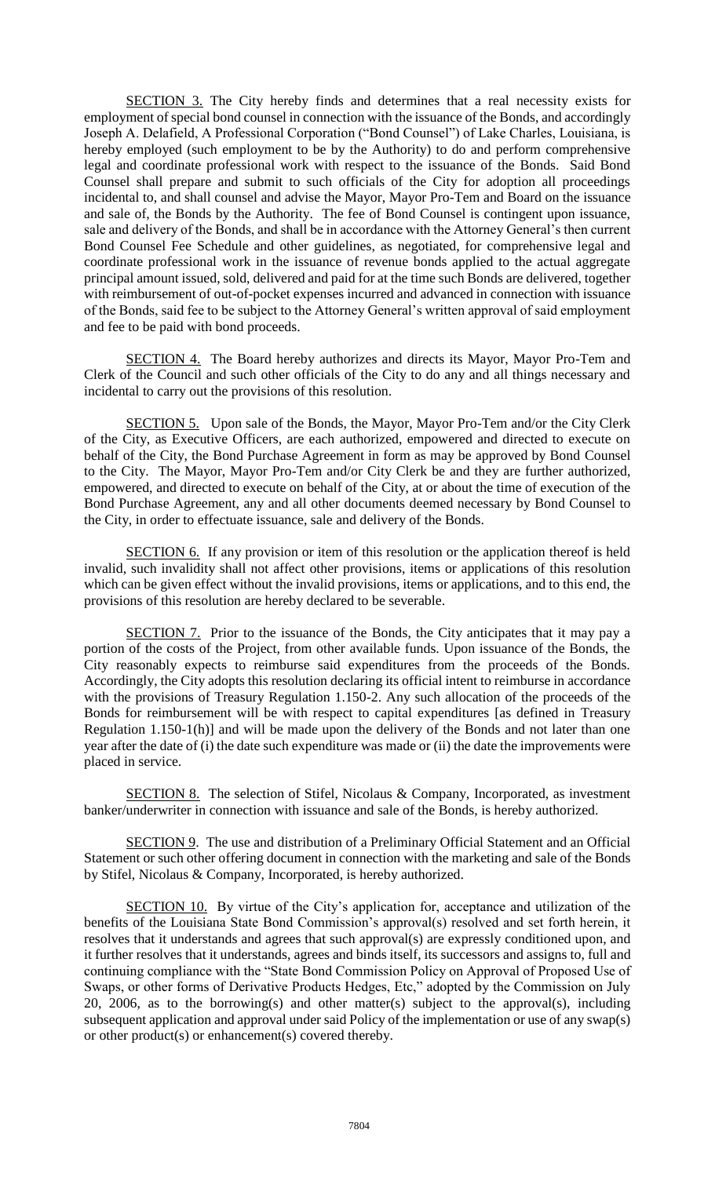SECTION 3. The City hereby finds and determines that a real necessity exists for employment of special bond counsel in connection with the issuance of the Bonds, and accordingly Joseph A. Delafield, A Professional Corporation ("Bond Counsel") of Lake Charles, Louisiana, is hereby employed (such employment to be by the Authority) to do and perform comprehensive legal and coordinate professional work with respect to the issuance of the Bonds. Said Bond Counsel shall prepare and submit to such officials of the City for adoption all proceedings incidental to, and shall counsel and advise the Mayor, Mayor Pro-Tem and Board on the issuance and sale of, the Bonds by the Authority. The fee of Bond Counsel is contingent upon issuance, sale and delivery of the Bonds, and shall be in accordance with the Attorney General's then current Bond Counsel Fee Schedule and other guidelines, as negotiated, for comprehensive legal and coordinate professional work in the issuance of revenue bonds applied to the actual aggregate principal amount issued, sold, delivered and paid for at the time such Bonds are delivered, together with reimbursement of out-of-pocket expenses incurred and advanced in connection with issuance of the Bonds, said fee to be subject to the Attorney General's written approval of said employment and fee to be paid with bond proceeds.

SECTION 4. The Board hereby authorizes and directs its Mayor, Mayor Pro-Tem and Clerk of the Council and such other officials of the City to do any and all things necessary and incidental to carry out the provisions of this resolution.

SECTION 5. Upon sale of the Bonds, the Mayor, Mayor Pro-Tem and/or the City Clerk of the City, as Executive Officers, are each authorized, empowered and directed to execute on behalf of the City, the Bond Purchase Agreement in form as may be approved by Bond Counsel to the City. The Mayor, Mayor Pro-Tem and/or City Clerk be and they are further authorized, empowered, and directed to execute on behalf of the City, at or about the time of execution of the Bond Purchase Agreement, any and all other documents deemed necessary by Bond Counsel to the City, in order to effectuate issuance, sale and delivery of the Bonds.

SECTION 6. If any provision or item of this resolution or the application thereof is held invalid, such invalidity shall not affect other provisions, items or applications of this resolution which can be given effect without the invalid provisions, items or applications, and to this end, the provisions of this resolution are hereby declared to be severable.

SECTION 7. Prior to the issuance of the Bonds, the City anticipates that it may pay a portion of the costs of the Project, from other available funds. Upon issuance of the Bonds, the City reasonably expects to reimburse said expenditures from the proceeds of the Bonds. Accordingly, the City adopts this resolution declaring its official intent to reimburse in accordance with the provisions of Treasury Regulation 1.150-2. Any such allocation of the proceeds of the Bonds for reimbursement will be with respect to capital expenditures [as defined in Treasury Regulation 1.150-1(h)] and will be made upon the delivery of the Bonds and not later than one year after the date of (i) the date such expenditure was made or (ii) the date the improvements were placed in service.

SECTION 8. The selection of Stifel, Nicolaus & Company, Incorporated, as investment banker/underwriter in connection with issuance and sale of the Bonds, is hereby authorized.

SECTION 9. The use and distribution of a Preliminary Official Statement and an Official Statement or such other offering document in connection with the marketing and sale of the Bonds by Stifel, Nicolaus & Company, Incorporated, is hereby authorized.

SECTION 10. By virtue of the City's application for, acceptance and utilization of the benefits of the Louisiana State Bond Commission's approval(s) resolved and set forth herein, it resolves that it understands and agrees that such approval(s) are expressly conditioned upon, and it further resolves that it understands, agrees and binds itself, its successors and assigns to, full and continuing compliance with the "State Bond Commission Policy on Approval of Proposed Use of Swaps, or other forms of Derivative Products Hedges, Etc," adopted by the Commission on July 20, 2006, as to the borrowing(s) and other matter(s) subject to the approval(s), including subsequent application and approval under said Policy of the implementation or use of any swap(s) or other product(s) or enhancement(s) covered thereby.